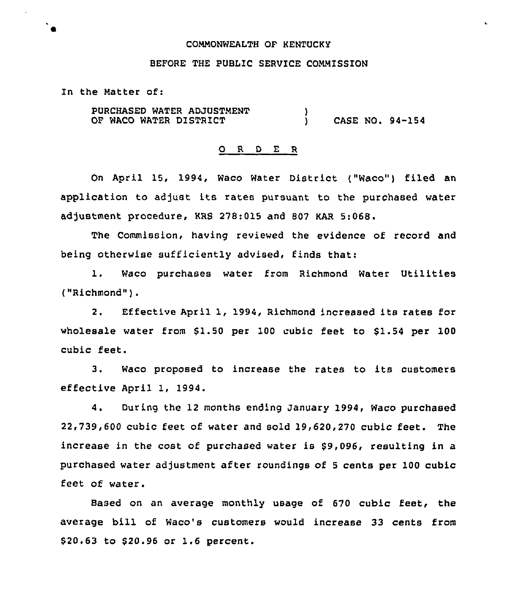## COMMONWEALTH OF KENTUCKY

#### BEFORE THE PUBLIC SERVICE COMMISSION

In the Matter of:

PURCHASED WATER ADJUSTMENT OF WACO WATER DISTRICT )<br>) ) CASE NO. 94-154

### 0 <sup>R</sup> <sup>D</sup> E <sup>R</sup>

On April 15, 1994, Waco Water District ("Waco") filed an application to adjust its rates pursuant to the purchased water adjustment procedure, KRS 278:015 and 807 KAR 5:068.

The Commission, having reviewed the evidence of record and being otherwise sufficiently advised, finds that:

l. Waco purchases water from Richmond Water Utilities ("Richmond" ).

2. Effective April 1, 1994, Richmond increased its rates for wholesale water from  $$1.50$  per 100 cubic feet to  $$1.54$  per 100 cubic feet.

3. Waco proposed to increase the rates to its customers effective April 1, 1994.

4. During the 12 months ending January 1994, Waco purchased 22,739,600 cubic feet of water and sold 19,620,270 cubic feet. The increase in the cost of purchased water is \$9,096, resulting in a purchased water adjustment after roundings of 5 cents per 100 cubic feet of water.

Based on an average monthly usage of 670 cubic feet, the average bill of Waco's customers would increase 33 cents from \$20.63 to \$20.96 or 1.6 percent.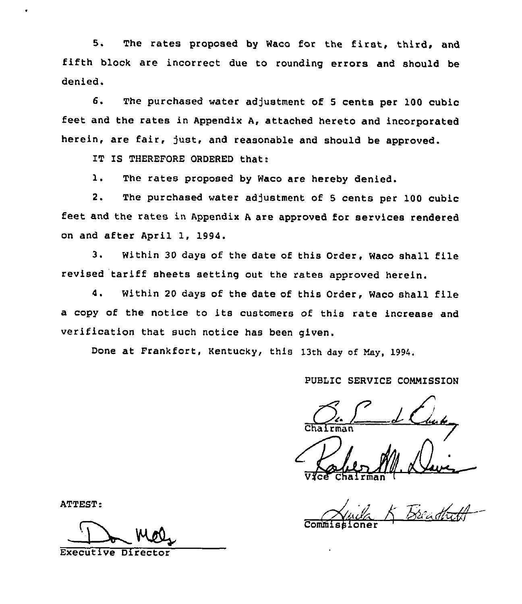5. The rates proposed by Waco for the first, third, and fifth block are incorrect due to rounding errors and should be denied.

6. The purchased water adjustment of <sup>5</sup> cents per 100 cubic feet and the rates in Appendix A, attached hereto and incorporated herein, are fair, just, and reasonable and should be approved.

IT IS THEREFORE ORDERED that:

1. The rates proposed by Waco are hereby denied.

2. The purchased water adjustment of <sup>5</sup> cents per 100 cubic feet and the rates in Appendix <sup>A</sup> are approved for services rendered on and after April 1, 1994.

3. Within <sup>30</sup> days of the date of this Order, Waco shall file revised tariff sheets setting out the rates approved herein.

4. Within <sup>20</sup> days of the date of this Order, Waco shall file a copy of the notice to its customers of this rate increase and verification that such notice has been given.

Done at Frankfort, Kentucky, this 13th day of May, 1994.

# PUBLIC SERVICE COMMISSION

V**fce Chairma** 

ATTEST: Commissioner

Executive Direct